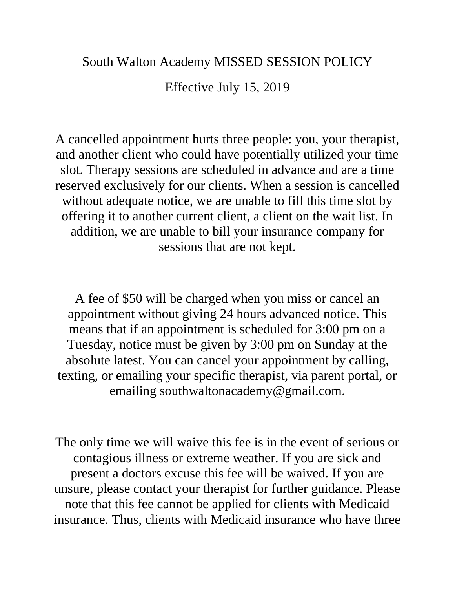## South Walton Academy MISSED SESSION POLICY

Effective July 15, 2019

A cancelled appointment hurts three people: you, your therapist, and another client who could have potentially utilized your time slot. Therapy sessions are scheduled in advance and are a time reserved exclusively for our clients. When a session is cancelled without adequate notice, we are unable to fill this time slot by offering it to another current client, a client on the wait list. In addition, we are unable to bill your insurance company for sessions that are not kept.

A fee of \$50 will be charged when you miss or cancel an appointment without giving 24 hours advanced notice. This means that if an appointment is scheduled for 3:00 pm on a Tuesday, notice must be given by 3:00 pm on Sunday at the absolute latest. You can cancel your appointment by calling, texting, or emailing your specific therapist, via parent portal, or emailing southwaltonacademy@gmail.com.

The only time we will waive this fee is in the event of serious or contagious illness or extreme weather. If you are sick and present a doctors excuse this fee will be waived. If you are unsure, please contact your therapist for further guidance. Please note that this fee cannot be applied for clients with Medicaid insurance. Thus, clients with Medicaid insurance who have three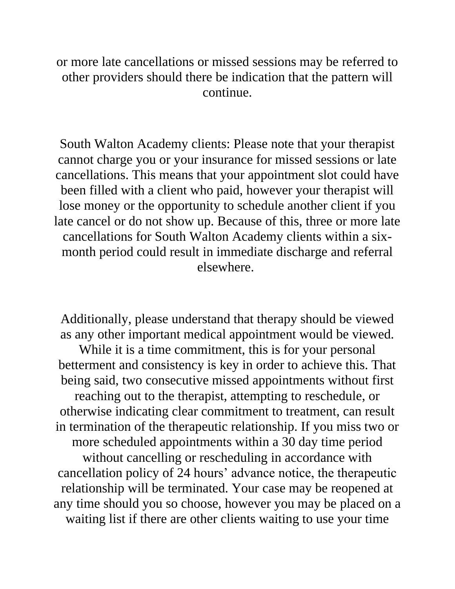or more late cancellations or missed sessions may be referred to other providers should there be indication that the pattern will continue.

South Walton Academy clients: Please note that your therapist cannot charge you or your insurance for missed sessions or late cancellations. This means that your appointment slot could have been filled with a client who paid, however your therapist will lose money or the opportunity to schedule another client if you late cancel or do not show up. Because of this, three or more late cancellations for South Walton Academy clients within a sixmonth period could result in immediate discharge and referral elsewhere.

Additionally, please understand that therapy should be viewed as any other important medical appointment would be viewed.

While it is a time commitment, this is for your personal betterment and consistency is key in order to achieve this. That being said, two consecutive missed appointments without first reaching out to the therapist, attempting to reschedule, or otherwise indicating clear commitment to treatment, can result in termination of the therapeutic relationship. If you miss two or more scheduled appointments within a 30 day time period without cancelling or rescheduling in accordance with cancellation policy of 24 hours' advance notice, the therapeutic relationship will be terminated. Your case may be reopened at any time should you so choose, however you may be placed on a waiting list if there are other clients waiting to use your time